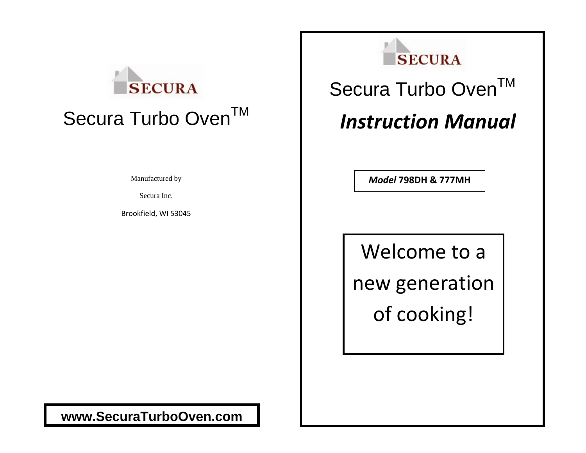# **SECURA** Secura Turbo Oven™

Manufactured by

Secura Inc.

Brookfield, WI 53045



# Secura Turbo Oven™

## *Instruction Manual*

*Model* **798DH & 777MH**

Welcome to a new generation of cooking!

**www.SecuraTurboOven.com**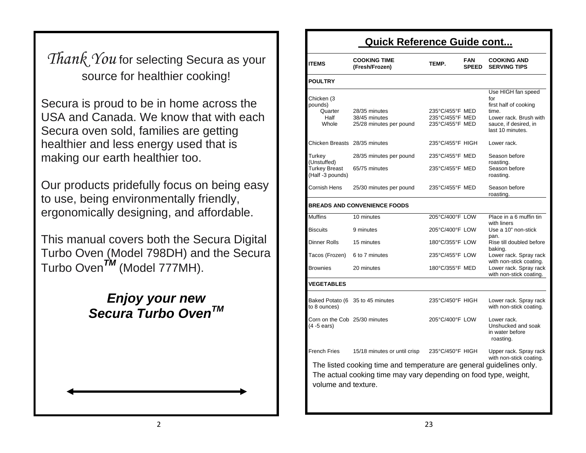### **Quick Reference Guide cont...**

**Thank You for selecting Secura as your** source for healthier cooking!

Secura is proud to be in home across the strategy of  $\overline{S}_{\text{pounds}}^{Chicken(3)}$  and  $\overline{S}_{\text{pounds}}^{Chicken(3)}$ USA and Canada. We know that with each Secura oven sold, families are getting healthier and less energy used that is making our earth healthier too.

Our products pridefully focus on being easy to use, being environmentally friendly, ergonomically designing, and affordable.

This manual covers both the Secura Digital Turbo Oven (Model 798DH) and the Secura Turbo Oven*TM* (Model 777MH).

# *Enjoy your new* Baked Potato (6 to 8 ounces) 35 to 45 minutes 235°C/450°F HIGH Lower rack. Spray rack with non-stick coating. *Secura Turbo OvenTM* Corn on the Cob

| Quick Reference Guide cont                        |                                                                                                                                          |                                                       |                            |                                                                                                                                    |
|---------------------------------------------------|------------------------------------------------------------------------------------------------------------------------------------------|-------------------------------------------------------|----------------------------|------------------------------------------------------------------------------------------------------------------------------------|
| <b>ITEMS</b>                                      | <b>COOKING TIME</b><br>(Fresh/Frozen)                                                                                                    | TEMP.                                                 | <b>FAN</b><br><b>SPEED</b> | <b>COOKING AND</b><br><b>SERVING TIPS</b>                                                                                          |
| <b>POULTRY</b>                                    |                                                                                                                                          |                                                       |                            |                                                                                                                                    |
| Chicken (3<br>pounds)<br>Quarter<br>Half<br>Whole | 28/35 minutes<br>38/45 minutes<br>25/28 minutes per pound                                                                                | 235°C/455°F MED<br>235°C/455°F MED<br>235°C/455°F MED |                            | Use HIGH fan speed<br>for<br>first half of cooking<br>time.<br>Lower rack. Brush with<br>sauce, if desired, in<br>last 10 minutes. |
| Chicken Breasts 28/35 minutes                     |                                                                                                                                          | 235°C/455°F HIGH                                      |                            | Lower rack.                                                                                                                        |
| Turkey<br>(Unstuffed)<br><b>Turkey Breast</b>     | 28/35 minutes per pound<br>65/75 minutes                                                                                                 | 235°C/455°F MED<br>235°C/455°F MED                    |                            | Season before<br>roasting.<br>Season before                                                                                        |
| (Half-3 pounds)                                   |                                                                                                                                          |                                                       |                            | roasting.                                                                                                                          |
| Cornish Hens                                      | 25/30 minutes per pound                                                                                                                  | 235°C/455°F MED                                       |                            | Season before<br>roasting.                                                                                                         |
|                                                   | <b>BREADS AND CONVENIENCE FOODS</b>                                                                                                      |                                                       |                            |                                                                                                                                    |
| <b>Muffins</b>                                    | 10 minutes                                                                                                                               | 205°C/400°F LOW                                       |                            | Place in a 6 muffin tin<br>with liners                                                                                             |
| <b>Biscuits</b>                                   | 9 minutes                                                                                                                                | 205°C/400°F LOW                                       |                            | Use a 10" non-stick<br>pan.                                                                                                        |
| Dinner Rolls                                      | 15 minutes                                                                                                                               | 180°C/355°F LOW                                       |                            | Rise till doubled before<br>baking.                                                                                                |
| Tacos (Frozen)                                    | 6 to 7 minutes                                                                                                                           | 235°C/455°F LOW                                       |                            | Lower rack. Spray rack<br>with non-stick coating.                                                                                  |
| Brownies                                          | 20 minutes                                                                                                                               | 180°C/355°F MED                                       |                            | Lower rack. Spray rack<br>with non-stick coating.                                                                                  |
| <b>VEGETABLES</b>                                 |                                                                                                                                          |                                                       |                            |                                                                                                                                    |
| to 8 ounces)                                      | Baked Potato (6 35 to 45 minutes                                                                                                         | 235°C/450°F HIGH                                      |                            | Lower rack. Spray rack<br>with non-stick coating.                                                                                  |
| Corn on the Cob 25/30 minutes<br>(4 -5 ears)      |                                                                                                                                          | 205°C/400°F LOW                                       |                            | Lower rack.<br>Unshucked and soak<br>in water before<br>roasting.                                                                  |
| <b>French Fries</b>                               | 15/18 minutes or until crisp                                                                                                             | 235°C/450°F HIGH                                      |                            | Upper rack. Spray rack<br>with non-stick coating.                                                                                  |
| volume and texture.                               | The listed cooking time and temperature are general guidelines only.<br>The actual cooking time may vary depending on food type, weight, |                                                       |                            |                                                                                                                                    |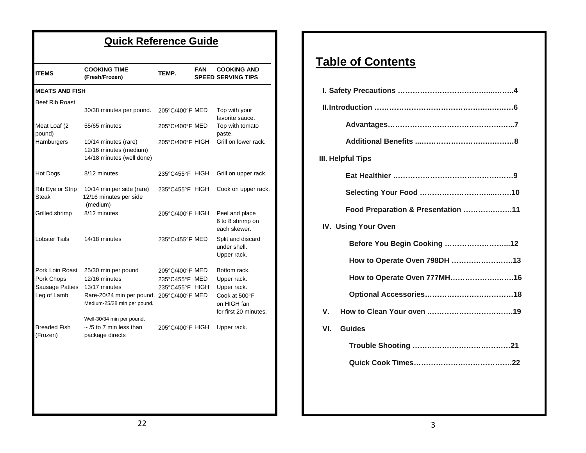| <b>ITEMS</b>                                                    | <b>COOKING TIME</b><br>(Fresh/Frozen)                                                                                                                          | TEMP.                                                | <b>FAN</b> | <b>COOKING AND</b><br><b>SPEED SERVING TIPS</b>                                                     |
|-----------------------------------------------------------------|----------------------------------------------------------------------------------------------------------------------------------------------------------------|------------------------------------------------------|------------|-----------------------------------------------------------------------------------------------------|
| <b>MEATS AND FISH</b>                                           |                                                                                                                                                                |                                                      |            |                                                                                                     |
| <b>Beef Rib Roast</b>                                           | 30/38 minutes per pound.                                                                                                                                       | 205°C/400°F MED                                      |            | Top with your<br>favorite sauce.                                                                    |
| Meat Loaf (2<br>pound)                                          | 55/65 minutes                                                                                                                                                  | 205°C/400°F MED                                      |            | Top with tomato<br>paste.                                                                           |
| Hamburgers                                                      | 10/14 minutes (rare)<br>12/16 minutes (medium)<br>14/18 minutes (well done)                                                                                    | 205°C/400°F HIGH                                     |            | Grill on lower rack.                                                                                |
| Hot Dogs                                                        | 8/12 minutes                                                                                                                                                   | 235°C455°F HIGH                                      |            | Grill on upper rack.                                                                                |
| Rib Eye or Strip<br>Steak                                       | 10/14 min per side (rare)<br>12/16 minutes per side<br>(medium)                                                                                                | 235°C455°F HIGH                                      |            | Cook on upper rack.                                                                                 |
| Grilled shrimp                                                  | 8/12 minutes                                                                                                                                                   | 205°C/400°F HIGH                                     |            | Peel and place<br>6 to 8 shrimp on<br>each skewer.                                                  |
| <b>Lobster Tails</b>                                            | 14/18 minutes                                                                                                                                                  | 235°C/455°F MED                                      |            | Split and discard<br>under shell.<br>Upper rack.                                                    |
| Pork Loin Roast<br>Pork Chops<br>Sausage Patties<br>Leg of Lamb | 25/30 min per pound<br>12/16 minutes<br>13/17 minutes<br>Rare-20/24 min per pound. 205°C/400°F MED<br>Medium-25/28 min per pound.<br>Well-30/34 min per pound. | 205°C/400°F MED<br>235°C455°F MED<br>235°C455°F HIGH |            | Bottom rack.<br>Upper rack.<br>Upper rack.<br>Cook at 500°F<br>on HIGH fan<br>for first 20 minutes. |
| <b>Breaded Fish</b><br>(Frozen)                                 | $\sim$ /5 to 7 min less than<br>package directs                                                                                                                | 205°C/400°F HIGH                                     |            | Upper rack.                                                                                         |

### **Table of Contents**

| III. Helpful Tips                  |
|------------------------------------|
|                                    |
|                                    |
| Food Preparation & Presentation 11 |
| <b>IV. Using Your Oven</b>         |
| Before You Begin Cooking 12        |
| How to Operate Oven 798DH 13       |
| How to Operate Oven 777MH16        |
|                                    |
| V.                                 |
| Guides<br>VI.                      |
|                                    |
|                                    |
|                                    |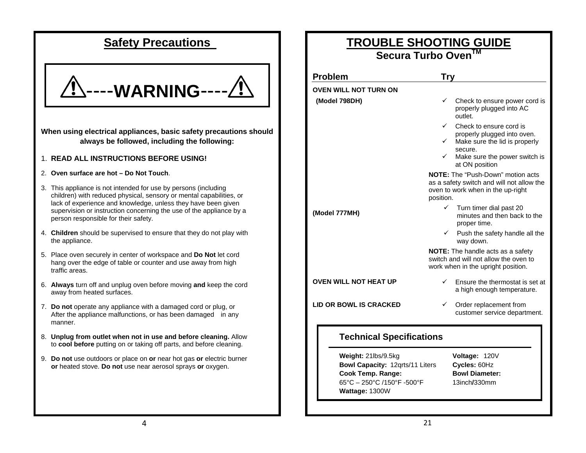### **Safety Precautions**



**When using electrical appliances, basic safety precautions should always be followed, including the following:**

#### 1. **READ ALL INSTRUCTIONS BEFORE USING!**

#### 2. **Oven surface are hot – Do Not Touch**.

- 3. This appliance is not intended for use by persons (including children) with reduced physical, sensory or mental capabilities, or lack of experience and knowledge, unless they have been given supervision or instruction concerning the use of the appliance by a person responsible for their safety.
- 4. **Children** should be supervised to ensure that they do not play with the appliance.
- 5. Place oven securely in center of workspace and **Do Not** let cord hang over the edge of table or counter and use away from high traffic areas.
- 6. **Always** turn off and unplug oven before moving **and** keep the cord away from heated surfaces.
- 7. **Do not** operate any appliance with a damaged cord or plug, or After the appliance malfunctions, or has been damaged in any manner.
- 8. **Unplug from outlet when not in use and before cleaning.** Allow to **cool before** putting on or taking off parts, and before cleaning.
- 9. **Do not** use outdoors or place on **or** near hot gas **or** electric burner  **or** heated stove. **Do not** use near aerosol sprays **or** oxygen.

| <u>TROUBLE SHOOTING GUIDE</u><br>Secura Turbo Oven™                                                                                |                                                                                                                                         |  |  |  |  |
|------------------------------------------------------------------------------------------------------------------------------------|-----------------------------------------------------------------------------------------------------------------------------------------|--|--|--|--|
| <b>Problem</b>                                                                                                                     | <b>Try</b>                                                                                                                              |  |  |  |  |
| <b>OVEN WILL NOT TURN ON</b>                                                                                                       |                                                                                                                                         |  |  |  |  |
| (Model 798DH)                                                                                                                      | $\checkmark$ Check to ensure power cord is<br>properly plugged into AC<br>outlet.                                                       |  |  |  |  |
|                                                                                                                                    | ✓<br>Check to ensure cord is                                                                                                            |  |  |  |  |
|                                                                                                                                    | properly plugged into oven.<br>Make sure the lid is properly                                                                            |  |  |  |  |
|                                                                                                                                    | secure.<br>$\checkmark$<br>Make sure the power switch is<br>at ON position                                                              |  |  |  |  |
|                                                                                                                                    | <b>NOTE:</b> The "Push-Down" motion acts<br>as a safety switch and will not allow the<br>oven to work when in the up-right<br>position. |  |  |  |  |
| (Model 777MH)                                                                                                                      | $\checkmark$<br>Turn timer dial past 20<br>minutes and then back to the<br>proper time.                                                 |  |  |  |  |
|                                                                                                                                    | Push the safety handle all the<br>way down.                                                                                             |  |  |  |  |
|                                                                                                                                    | NOTE: The handle acts as a safety<br>switch and will not allow the oven to<br>work when in the upright position.                        |  |  |  |  |
| <b>OVEN WILL NOT HEAT UP</b>                                                                                                       | ✓<br>Ensure the thermostat is set at<br>a high enough temperature.                                                                      |  |  |  |  |
| <b>LID OR BOWL IS CRACKED</b>                                                                                                      | $\checkmark$<br>Order replacement from<br>customer service department.                                                                  |  |  |  |  |
| <b>Technical Specifications</b>                                                                                                    |                                                                                                                                         |  |  |  |  |
| Weight: 21lbs/9.5kg<br>Bowl Capacity: 12qrts/11 Liters<br><b>Cook Temp. Range:</b><br>65°C - 250°C /150°F -500°F<br>Wattage: 1300W | <b>Voltage: 120V</b><br>Cycles: 60Hz<br><b>Bowl Diameter:</b><br>13inch/330mm                                                           |  |  |  |  |
|                                                                                                                                    |                                                                                                                                         |  |  |  |  |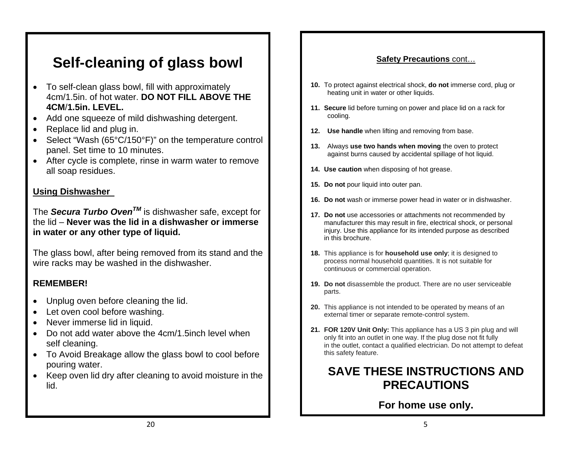### **Self-cleaning of glass bowl**

- To self-clean glass bowl, fill with approximately 4cm/1.5in. of hot water. **DO NOT FILL ABOVE THE 4CM**/**1.5in. LEVEL.**
- Add one squeeze of mild dishwashing detergent.
- Replace lid and plug in.
- Select "Wash (65°C/150°F)" on the temperature control panel. Set time to 10 minutes.
- After cycle is complete, rinse in warm water to remove all soap residues.

### **Using Dishwasher**

The *Secura Turbo OvenTM* is dishwasher safe, except for the lid – **Never was the lid in a dishwasher or immerse in water or any other type of liquid.** 

The glass bowl, after being removed from its stand and the wire racks may be washed in the dishwasher.

### **REMEMBER!**

- Unplug oven before cleaning the lid.
- Let oven cool before washing.
- Never immerse lid in liquid.
- Do not add water above the 4cm/1.5inch level when self cleaning.
- To Avoid Breakage allow the glass bowl to cool before pouring water.
- Keep oven lid dry after cleaning to avoid moisture in the lid.

### **Safety Precautions** cont…

- **10.** To protect against electrical shock, **do not** immerse cord, plug or heating unit in water or other liquids.
- **11. Secure** lid before turning on power and place lid on a rack for cooling.
- **12. Use handle** when lifting and removing from base.
- **13.** Always **use two hands when moving** the oven to protect against burns caused by accidental spillage of hot liquid.
- **14. Use caution** when disposing of hot grease.
- **15. Do not** pour liquid into outer pan.
- **16. Do not** wash or immerse power head in water or in dishwasher.
- **17. Do not** use accessories or attachments not recommended by manufacturer this may result in fire, electrical shock, or personal injury. Use this appliance for its intended purpose as described in this brochure.
- **18.** This appliance is for **household use only**; it is designed to process normal household quantities. It is not suitable for continuous or commercial operation.
- **19. Do not** disassemble the product. There are no user serviceable parts.
- **20.** This appliance is not intended to be operated by means of an external timer or separate remote-control system.
- 21. FOR 120V Unit Only: This appliance has a US 3 pin plug and will only fit into an outlet in one way. If the plug dose not fit fully in the outlet, contact a qualified electrician. Do not attempt to defeat this safety feature.

### **SAVE THESE INSTRUCTIONS AND PRECAUTIONS**

### **For home use only.**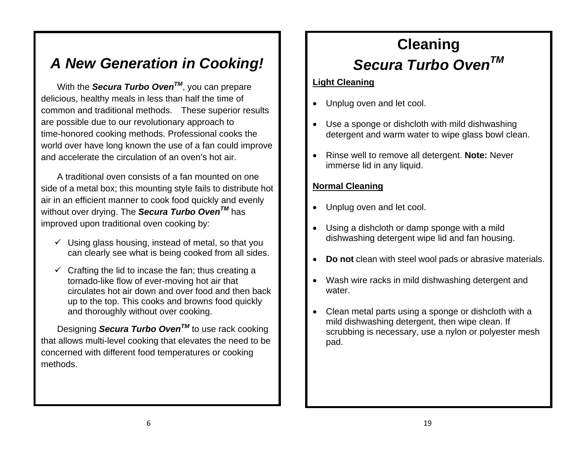### *Secura Turbo OvenTM A New Generation in Cooking!*

With the **Secura Turbo Oven**<sup>TM</sup>, you can prepare **Light Cleaning** delicious, healthy meals in less than half the time of common and traditional methods. These superior results are possible due to our revolutionary approach to time-honored cooking methods. Professional cooks the world over have long known the use of a fan could improve and accelerate the circulation of an oven's hot air.

A traditional oven consists of a fan mounted on one side of a metal box; this mounting style fails to distribute hot air in an efficient manner to cook food quickly and evenly without over drying. The *Secura Turbo OvenTM* has improved upon traditional oven cooking by:

- can clearly see what is being cooked from all sides.
- $\checkmark$  Crafting the lid to incase the fan; thus creating a tornado-like flow of ever-moving hot air that circulates hot air down and over food and then back up to the top. This cooks and browns food quickly and thoroughly without over cooking.

Designing *Secura Turbo OvenTM* to use rack cooking that allows multi-level cooking that elevates the need to be concerned with different food temperatures or cooking methods.

# **Cleaning**

- Unplug oven and let cool.
- Use a sponge or dishcloth with mild dishwashing detergent and warm water to wipe glass bowl clean.
- Rinse well to remove all detergent. **Note:** Never immerse lid in any liquid.

### **Normal Cleaning**

- Unplug oven and let cool.
- Using a dishcloth or damp sponge with a mild  $\checkmark$  Using glass housing, instead of metal, so that you  $\parallel$  dishwashing detergent wipe lid and fan housing.
	- **Do not** clean with steel wool pads or abrasive materials.
	- Wash wire racks in mild dishwashing detergent and water.
	- Clean metal parts using a sponge or dishcloth with a mild dishwashing detergent, then wipe clean. If scrubbing is necessary, use a nylon or polyester mesh pad.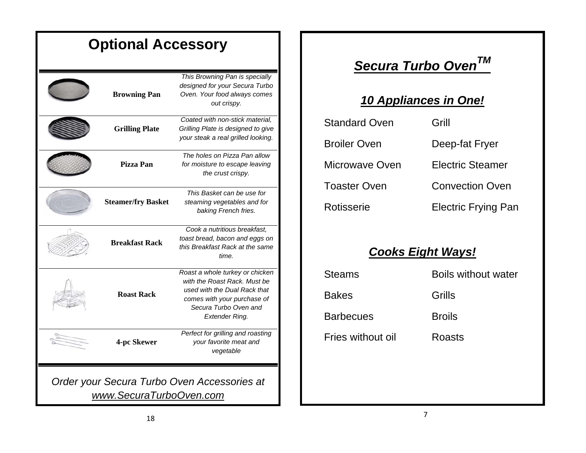| <b>Optional Accessory</b> |                                                                                                                 |                                             |               |
|---------------------------|-----------------------------------------------------------------------------------------------------------------|---------------------------------------------|---------------|
| <b>Browning Pan</b>       | This Browning Pan is specially<br>designed for your Secura Turbo<br>Oven. Your food always comes<br>out crispy. | Secura Turbo O<br>10 Appliances in          |               |
| <b>Grilling Plate</b>     | Coated with non-stick material,<br>Grilling Plate is designed to give<br>your steak a real grilled looking.     | <b>Standard Oven</b><br><b>Broiler Oven</b> | Grill<br>Deer |
| Pizza Pan                 | The holes on Pizza Pan allow<br>for moisture to escape leaving<br>the crust crispy.                             | Microwave Oven                              | Elec          |

**CONTRACTOR** 

#### **Steamer/fry Basket** *This Basket can be use for steaming vegetables and for*  **baking French fries.** *Cook a nutritious breakfast, toast bread, bacon and eggs on this Breakfast Rack at the same time.* **Breakfast Rack**Steams Boils without water *Roast a whole turkey or chicken with the Roast Rack. Must be used with the Dual Rack that* **Roast Rack** about the *comes with your purchase of* **Bakes** Grills **Grills** *Secura Turbo Oven and Extender Ring.*  **4-pc Skewer** *Perfect for grilling and roasting your favorite meat and vegetable*

*Order your Secura Turbo Oven Accessories at www.SecuraTurboOven.com*

## *Secura Turbo OvenTM*

### **10 Appliances in One!**

| ate           | Coated with non-stick material,<br>Grilling Plate is designed to give               | <b>Standard Oven</b> | Grill                      |
|---------------|-------------------------------------------------------------------------------------|----------------------|----------------------------|
|               | your steak a real grilled looking.                                                  | <b>Broiler Oven</b>  | Deep-fat Fryer             |
| n             | The holes on Pizza Pan allow<br>for moisture to escape leaving<br>the crust crispy. | Microwave Oven       | <b>Electric Steamer</b>    |
|               | This Basket can be use for                                                          | <b>Toaster Oven</b>  | <b>Convection Oven</b>     |
| <b>Basket</b> | steaming vegetables and for<br>baking French fries.                                 | Rotisserie           | <b>Electric Frying Pan</b> |

### *Cooks Eight Ways!*

| <b>Steams</b>     | <b>Boils without water</b> |
|-------------------|----------------------------|
| <b>Bakes</b>      | Grills                     |
| <b>Barbecues</b>  | <b>Broils</b>              |
| Fries without oil | Roasts                     |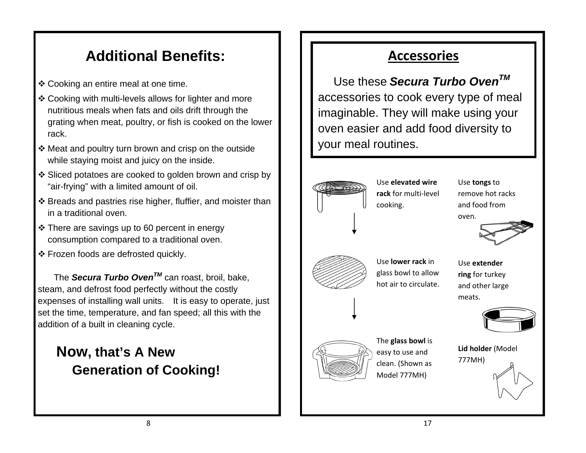## Additional Benefits: **Accessories**

- ❖ Cooking an entire meal at one time.
- Cooking with multi-levels allows for lighter and more nutritious meals when fats and oils drift through the grating when meat, poultry, or fish is cooked on the lower rack.
- Meat and poultry turn brown and crisp on the outside while staying moist and juicy on the inside.
- ❖ Sliced potatoes are cooked to golden brown and crisp by "air-frying" with a limited amount of oil. Use **tongs** to
- $\clubsuit$  Breads and pastries rise higher, fluffier, and moister than  $\|\hspace{0.1cm} \|$   $\|\hspace{0.1cm} \|$  cooking. in a traditional oven.
- There are savings up to 60 percent in energy consumption compared to a traditional oven.
- $\div$  Frozen foods are defrosted quickly.

The *Secura Turbo OvenTM* can roast, broil, bake, steam, and defrost food perfectly without the costly expenses of installing wall units. It is easy to operate, just set the time, temperature, and fan speed; all this with the addition of a built in cleaning cycle.

### **Now, that's A New Generation of Cooking!**

 Use these *Secura Turbo OvenTM* accessories to cook every type of meal imaginable. They will make using your oven easier and add food diversity to your meal routines.

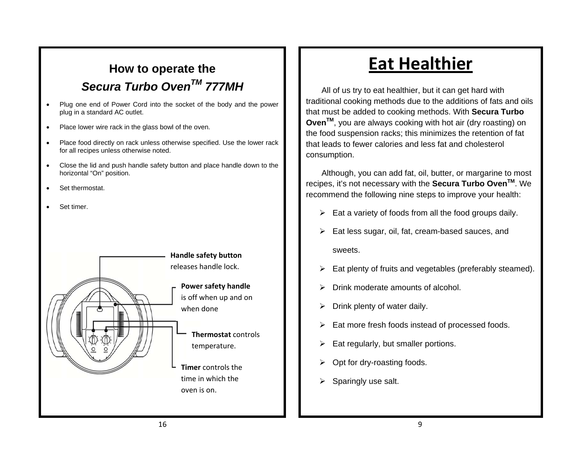# **Secura Turbo Oven<sup>TM</sup> 777MH All of us try to eat healthier, but it can get hard with**

- Plug one end of Power Cord into the socket of the body and the power plug in a standard AC outlet.
- Place lower wire rack in the glass bowl of the oven.
- Place food directly on rack unless otherwise specified. Use the lower rack for all recipes unless otherwise noted.
- Close the lid and push handle safety button and place handle down to the
- Set thermostat.
- Set timer.



## **How to operate the** <br> **Eat Healthier**

traditional cooking methods due to the additions of fats and oils that must be added to cooking methods. With **Secura Turbo OvenTM**, you are always cooking with hot air (dry roasting) on the food suspension racks; this minimizes the retention of fat that leads to fewer calories and less fat and cholesterol consumption.

horizontal "On" position. **Although, you can add fat, oil, butter, or margarine to most** recipes, it's not necessary with the **Secura Turbo OvenTM**. We recommend the following nine steps to improve your health:

- $\triangleright$  Eat a variety of foods from all the food groups daily.
- $\triangleright$  Eat less sugar, oil, fat, cream-based sauces, and sweets.
- $\triangleright$  Eat plenty of fruits and vegetables (preferably steamed).
- $\triangleright$  Drink moderate amounts of alcohol.
- $\triangleright$  Drink plenty of water daily.
- $\triangleright$  Eat more fresh foods instead of processed foods.
- $\triangleright$  Eat regularly, but smaller portions.
- $\triangleright$  Opt for dry-roasting foods.
- $\triangleright$  Sparingly use salt.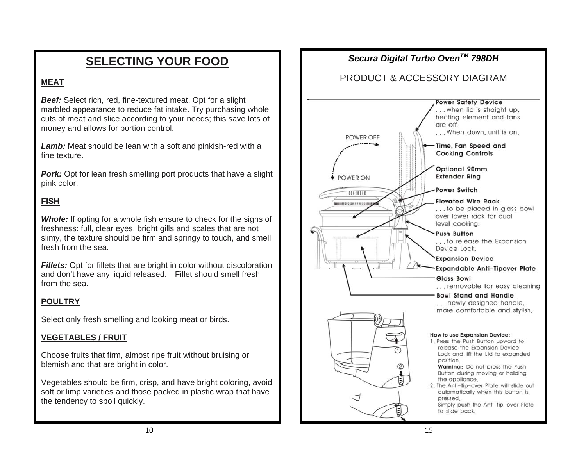### **MEAT**

*Beef:* Select rich, red, fine-textured meat. Opt for a slight marbled appearance to reduce fat intake. Try purchasing whole cuts of meat and slice according to your needs; this save lots of money and allows for portion control.

*Lamb:* Meat should be lean with a soft and pinkish-red with a fine texture.

**Pork:** Opt for lean fresh smelling port products that have a slight pink color.

### **FISH**

**Whole:** If opting for a whole fish ensure to check for the signs of freshness: full, clear eyes, bright gills and scales that are not slimy, the texture should be firm and springy to touch, and smell fresh from the sea.

**Fillets:** Opt for fillets that are bright in color without discoloration and don't have any liquid released. Fillet should smell fresh from the sea.

### **POULTRY**

Select only fresh smelling and looking meat or birds.

#### **VEGETABLES / FRUIT**

Choose fruits that firm, almost ripe fruit without bruising or blemish and that are bright in color.

Vegetables should be firm, crisp, and have bright coloring, avoid soft or limp varieties and those packed in plastic wrap that have the tendency to spoil quickly.

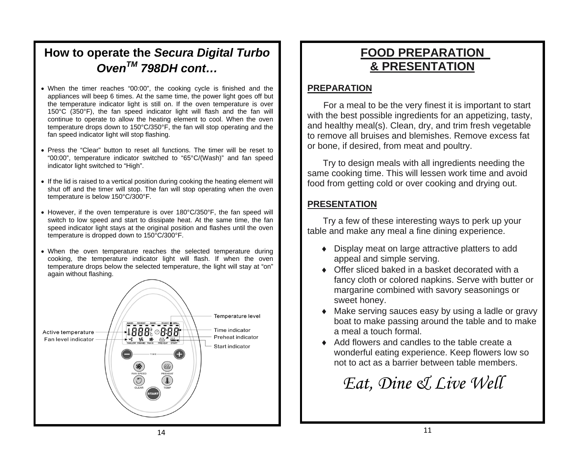### **How to operate the** *Secura Digital Turbo OvenTM 798DH cont…*

- When the timer reaches "00:00", the cooking cycle is finished and the **PREPARATION** appliances will beep 6 times. At the same time, the power light goes off but the temperature indicator light is still on. If the oven temperature is over 150°C (350°F), the fan speed indicator light will flash and the fan will continue to operate to allow the heating element to cool. When the oven temperature drops down to 150°C/350°F, the fan will stop operating and the fan speed indicator light will stop flashing.
- Press the "Clear" button to reset all functions. The timer will be reset to **oncept and meat and the the ten on** meat and poultry. "00:00", temperature indicator switched to "65°C/(Wash)" and fan speed indicator light switched to "High".<br>indicator light switched to "High".
- If the lid is raised to a vertical position during cooking the heating element will<br>shut off and the timer will stop. The fan will stop operating when the oven temperature is below 150°C/300°F.
- However, if the oven temperature is over 180°C/350°F, the fan speed will switch to low speed and start to dissipate heat. At the same time, the fan speed indicator light stays at the original position and flashes until the oven temperature is dropped down to 150°C/300°F.
- When the oven temperature reaches the selected temperature during cooking, the temperature indicator light will flash. If when the oven temperature drops below the selected temperature, the light will stay at "on" again without flashing.



### **FOOD PREPARATION & PRESENTATION**

For a meal to be the very finest it is important to start with the best possible ingredients for an appetizing, tasty, and healthy meal(s). Clean, dry, and trim fresh vegetable to remove all bruises and blemishes. Remove excess fat

same cooking time. This will lessen work time and avoid

### **PRESENTATION**

 Try a few of these interesting ways to perk up your table and make any meal a fine dining experience.

- ♦ Display meat on large attractive platters to add appeal and simple serving.
- ◆ Offer sliced baked in a basket decorated with a fancy cloth or colored napkins. Serve with butter or margarine combined with savory seasonings or sweet honey.
- ♦ Make serving sauces easy by using a ladle or gravy boat to make passing around the table and to make a meal a touch formal.
- ♦ Add flowers and candles to the table create a wonderful eating experience. Keep flowers low so not to act as a barrier between table members.

## *Eat, Dine & Live Well*